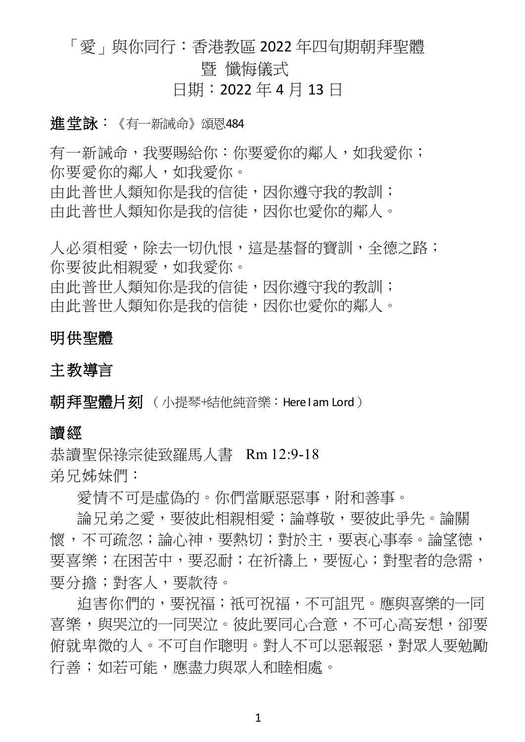# 「愛」與你同行:香港教區 2022 年四旬期朝拜聖體 暨 懺悔儀式

日期:2022 年 4 月 13 日

## 進堂詠:《有一新誡命》頌恩484

有一新誡命,我要賜給你:你要愛你的鄰人,如我愛你; 你要愛你的鄰人,如我愛你。 中此普世人類知你是我的信徒,因你遵守我的教訓; 中此普世人類知你是我的信徒,因你也愛你的鄰人。

人必須相愛,除去一切仇恨,這是基督的寶訓,全德之路; 你要彼此相親愛,如我愛你。 中此普世人類知你是我的信徒,因你遵守我的教訓; 由此普世人類知你是我的信徒,因你也愛你的鄰人。

## 明供聖體

## 主教導言

朝拜聖體片刻 (小提琴+結他純音樂: Here I am Lord)

### 讀經

恭讀聖保祿宗徒致羅馬人書 Rm 12:9-18 弟兄姊妹們:

愛情不可是虛偽的。你們當厭惡惡事,附和善事。

論兄弟之愛,要彼此相親相愛;論尊敬,要彼此爭先。論關 懷,不可疏忽;論心神,要熱切;對於主,要東心事奉。論望德, 要喜樂;在困苦中,要忍耐;在祈禱上,要恆心;對聖者的急需, 要分擔;對客人,要款待。

迫害你們的,要祝福;祇可祝福,不可詛咒。應與喜樂的一同 喜樂,與哭泣的一同哭泣。彼此要同心合意,不可心高妄想,卻要 俯就卑微的人。不可自作聰明。對人不可以惡報惡,對眾人要勉勵 行善;如若可能,應盡力與眾人和睦相處。

1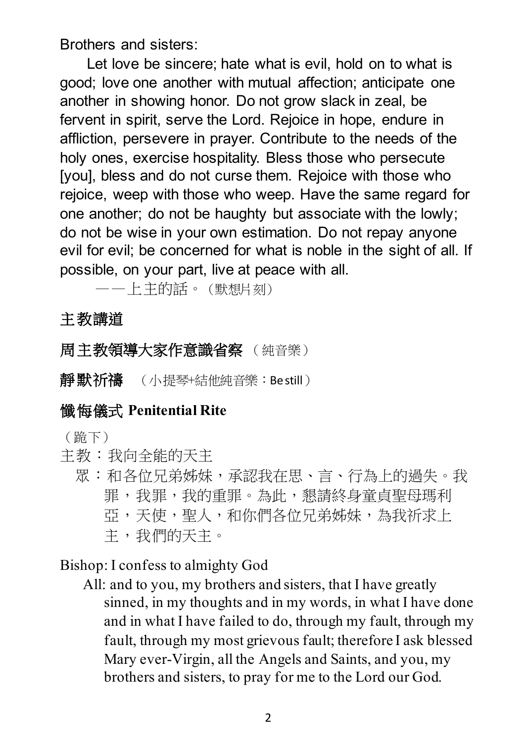Brothers and sisters:

Let love be sincere; hate what is evil, hold on to what is good; love one another with mutual affection; anticipate one another in showing honor. Do not grow slack in zeal, be fervent in spirit, serve the Lord. Rejoice in hope, endure in affliction, persevere in prayer. Contribute to the needs of the holy ones, exercise hospitality. Bless those who persecute [you], bless and do not curse them. Rejoice with those who rejoice, weep with those who weep. Have the same regard for one another; do not be haughty but associate with the lowly; do not be wise in your own estimation. Do not repay anyone evil for evil; be concerned for what is noble in the sight of all. If possible, on your part, live at peace with all.

——上主的話。(默想片刻)

# 主教講道

# 周主教領導大家作意識省察 (純音樂)

靜默祈禱 (小提琴+結他純音樂: Be still)

# 懺悔儀式 **Penitential Rite**

(跪下)

- 主教:我向全能的天主
	- 眾:和各位兄弟姊妹,承認我在思、言、行為上的過失。我 罪,我罪,我的重罪。為此,懇請終身童貞聖母瑪利 亞,天使,聖人,和你們各位兄弟姊妹,為我祈求上 主,我們的天主。

## Bishop: I confess to almighty God

All: and to you, my brothers and sisters, that I have greatly sinned, in my thoughts and in my words, in what I have done and in what I have failed to do, through my fault, through my fault, through my most grievous fault; therefore I ask blessed Mary ever-Virgin, all the Angels and Saints, and you, my brothers and sisters, to pray for me to the Lord our God.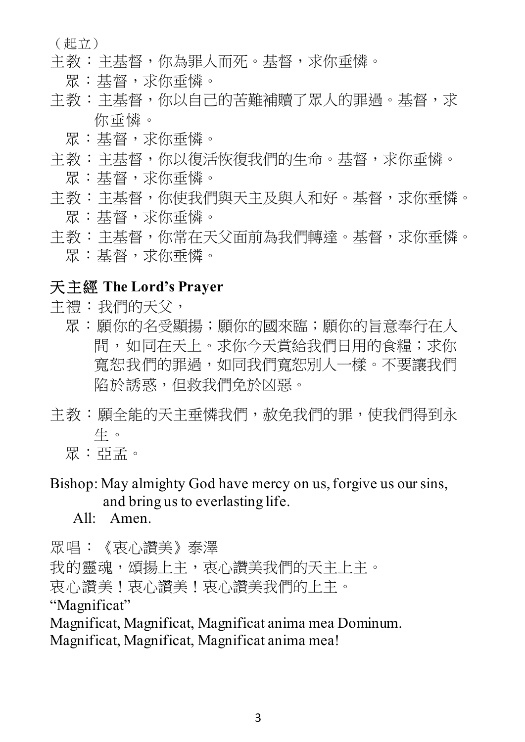(起立)

- 主教:主基督,你為罪人而死。基督,求你垂憐。
	- 眾:基督,求你垂憐。
- 主教:主基督,你以自己的苦難補贖了眾人的罪過。基督,求 你垂憐。
	- 眾:基督,求你垂憐。
- 主教:主基督,你以復活恢復我們的生命。基督,求你垂憐。
	- 眾:基督,求你垂憐。
- 主教:主基督,你使我們與天主及與人和好。基督,求你垂憐。 眾:基督,求你垂憐。
- 主教:主基督,你常在天父面前為我們轉達。基督,求你垂憐。 眾:基督,求你垂憐。

# 天主經 **The Lord's Prayer**

主禮:我們的天父,

- 眾:願你的名受顯揚;願你的國來臨;願你的旨意奉行在人 間,如同在天上。求你今天嘗給我們日用的食糧;求你 寬恕我們的罪過,如同我們寬恕別人一樣。不要讓我們 陷於誘惑,但救我們免於凶惡。
- 主教:願全能的天主垂憐我們,赦免我們的罪,使我們得到永 生。
	- 眾:亞孟。
- Bishop: May almighty God have mercy on us, forgive us our sins, and bring us to everlasting life.
	- All: Amen.

眾唱:《衷心讚美》泰澤

我的靈魂,頌揚上主,哀心讚美我們的天主上主。 衷心讚美!衷心讚美!衷心讚美我們的上主。 "Magnificat" Magnificat, Magnificat, Magnificat anima mea Dominum.

Magnificat, Magnificat, Magnificat anima mea!